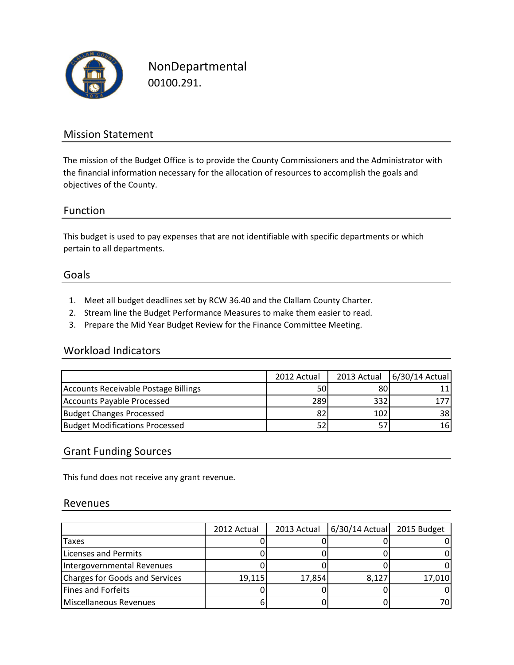

NonDepartmental 00100.291.

## Mission Statement

The mission of the Budget Office is to provide the County Commissioners and the Administrator with the financial information necessary for the allocation of resources to accomplish the goals and objectives of the County.

### Function

This budget is used to pay expenses that are not identifiable with specific departments or which pertain to all departments.

### Goals

- 1. Meet all budget deadlines set by RCW 36.40 and the Clallam County Charter.
- 2. Stream line the Budget Performance Measures to make them easier to read.
- 3. Prepare the Mid Year Budget Review for the Finance Committee Meeting.

### Workload Indicators

|                                       | 2012 Actual | 2013 Actual | 6/30/14 Actual |
|---------------------------------------|-------------|-------------|----------------|
| Accounts Receivable Postage Billings  | 50          | 80          | 11             |
| Accounts Payable Processed            | 289         | 332         |                |
| <b>Budget Changes Processed</b>       | 82          | 102         | 38             |
| <b>Budget Modifications Processed</b> | 52          |             | 161            |

## Grant Funding Sources

This fund does not receive any grant revenue.

### Revenues

|                                | 2012 Actual | 2013 Actual | $6/30/14$ Actual | 2015 Budget |
|--------------------------------|-------------|-------------|------------------|-------------|
| Taxes                          |             |             |                  |             |
| Licenses and Permits           |             |             |                  |             |
| Intergovernmental Revenues     |             |             |                  |             |
| Charges for Goods and Services | 19,115      | 17,854      | 8,127            | 17,010      |
| <b>Fines and Forfeits</b>      |             |             |                  |             |
| Miscellaneous Revenues         |             |             |                  |             |